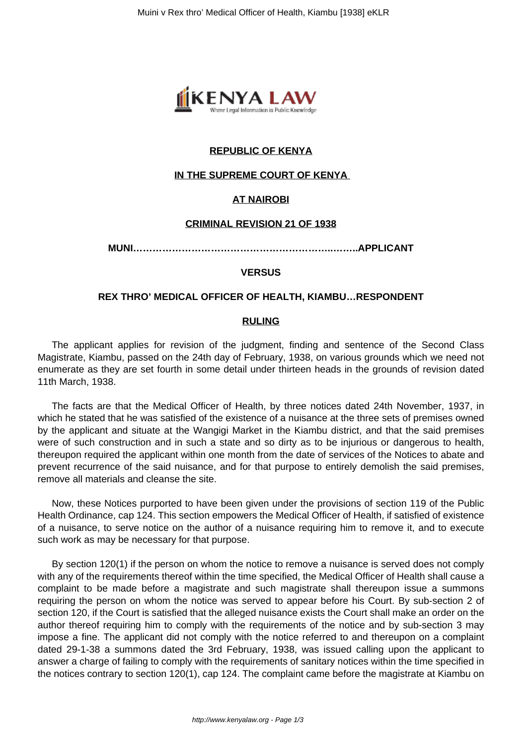

# **REPUBLIC OF KENYA**

## **IN THE SUPREME COURT OF KENYA**

## **AT NAIROBI**

### **CRIMINAL REVISION 21 OF 1938**

**MUNI……………………………………………………..……..APPLICANT**

### **VERSUS**

### **REX THRO' MEDICAL OFFICER OF HEALTH, KIAMBU…RESPONDENT**

#### **RULING**

The applicant applies for revision of the judgment, finding and sentence of the Second Class Magistrate, Kiambu, passed on the 24th day of February, 1938, on various grounds which we need not enumerate as they are set fourth in some detail under thirteen heads in the grounds of revision dated 11th March, 1938.

The facts are that the Medical Officer of Health, by three notices dated 24th November, 1937, in which he stated that he was satisfied of the existence of a nuisance at the three sets of premises owned by the applicant and situate at the Wangigi Market in the Kiambu district, and that the said premises were of such construction and in such a state and so dirty as to be injurious or dangerous to health, thereupon required the applicant within one month from the date of services of the Notices to abate and prevent recurrence of the said nuisance, and for that purpose to entirely demolish the said premises, remove all materials and cleanse the site.

Now, these Notices purported to have been given under the provisions of section 119 of the Public Health Ordinance, cap 124. This section empowers the Medical Officer of Health, if satisfied of existence of a nuisance, to serve notice on the author of a nuisance requiring him to remove it, and to execute such work as may be necessary for that purpose.

By section 120(1) if the person on whom the notice to remove a nuisance is served does not comply with any of the requirements thereof within the time specified, the Medical Officer of Health shall cause a complaint to be made before a magistrate and such magistrate shall thereupon issue a summons requiring the person on whom the notice was served to appear before his Court. By sub-section 2 of section 120, if the Court is satisfied that the alleged nuisance exists the Court shall make an order on the author thereof requiring him to comply with the requirements of the notice and by sub-section 3 may impose a fine. The applicant did not comply with the notice referred to and thereupon on a complaint dated 29-1-38 a summons dated the 3rd February, 1938, was issued calling upon the applicant to answer a charge of failing to comply with the requirements of sanitary notices within the time specified in the notices contrary to section 120(1), cap 124. The complaint came before the magistrate at Kiambu on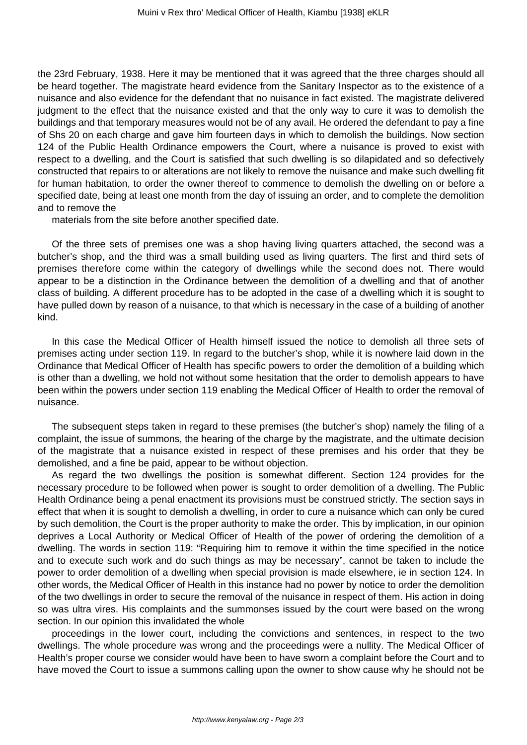the 23rd February, 1938. Here it may be mentioned that it was agreed that the three charges should all be heard together. The magistrate heard evidence from the Sanitary Inspector as to the existence of a nuisance and also evidence for the defendant that no nuisance in fact existed. The magistrate delivered judgment to the effect that the nuisance existed and that the only way to cure it was to demolish the buildings and that temporary measures would not be of any avail. He ordered the defendant to pay a fine of Shs 20 on each charge and gave him fourteen days in which to demolish the buildings. Now section 124 of the Public Health Ordinance empowers the Court, where a nuisance is proved to exist with respect to a dwelling, and the Court is satisfied that such dwelling is so dilapidated and so defectively constructed that repairs to or alterations are not likely to remove the nuisance and make such dwelling fit for human habitation, to order the owner thereof to commence to demolish the dwelling on or before a specified date, being at least one month from the day of issuing an order, and to complete the demolition and to remove the

materials from the site before another specified date.

Of the three sets of premises one was a shop having living quarters attached, the second was a butcher's shop, and the third was a small building used as living quarters. The first and third sets of premises therefore come within the category of dwellings while the second does not. There would appear to be a distinction in the Ordinance between the demolition of a dwelling and that of another class of building. A different procedure has to be adopted in the case of a dwelling which it is sought to have pulled down by reason of a nuisance, to that which is necessary in the case of a building of another kind.

In this case the Medical Officer of Health himself issued the notice to demolish all three sets of premises acting under section 119. In regard to the butcher's shop, while it is nowhere laid down in the Ordinance that Medical Officer of Health has specific powers to order the demolition of a building which is other than a dwelling, we hold not without some hesitation that the order to demolish appears to have been within the powers under section 119 enabling the Medical Officer of Health to order the removal of nuisance.

The subsequent steps taken in regard to these premises (the butcher's shop) namely the filing of a complaint, the issue of summons, the hearing of the charge by the magistrate, and the ultimate decision of the magistrate that a nuisance existed in respect of these premises and his order that they be demolished, and a fine be paid, appear to be without objection.

As regard the two dwellings the position is somewhat different. Section 124 provides for the necessary procedure to be followed when power is sought to order demolition of a dwelling. The Public Health Ordinance being a penal enactment its provisions must be construed strictly. The section says in effect that when it is sought to demolish a dwelling, in order to cure a nuisance which can only be cured by such demolition, the Court is the proper authority to make the order. This by implication, in our opinion deprives a Local Authority or Medical Officer of Health of the power of ordering the demolition of a dwelling. The words in section 119: "Requiring him to remove it within the time specified in the notice and to execute such work and do such things as may be necessary", cannot be taken to include the power to order demolition of a dwelling when special provision is made elsewhere, ie in section 124. In other words, the Medical Officer of Health in this instance had no power by notice to order the demolition of the two dwellings in order to secure the removal of the nuisance in respect of them. His action in doing so was ultra vires. His complaints and the summonses issued by the court were based on the wrong section. In our opinion this invalidated the whole

proceedings in the lower court, including the convictions and sentences, in respect to the two dwellings. The whole procedure was wrong and the proceedings were a nullity. The Medical Officer of Health's proper course we consider would have been to have sworn a complaint before the Court and to have moved the Court to issue a summons calling upon the owner to show cause why he should not be